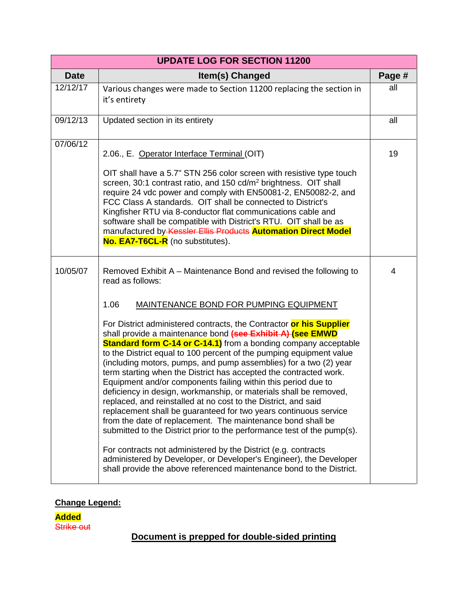| <b>UPDATE LOG FOR SECTION 11200</b> |                                                                                                                                                                                                                                                                                                                                                                                                                                                                                                                                                                                                                                                                                                                                                                                                                                                                                                                                                                                                                                                                                                                                                                                                               |        |
|-------------------------------------|---------------------------------------------------------------------------------------------------------------------------------------------------------------------------------------------------------------------------------------------------------------------------------------------------------------------------------------------------------------------------------------------------------------------------------------------------------------------------------------------------------------------------------------------------------------------------------------------------------------------------------------------------------------------------------------------------------------------------------------------------------------------------------------------------------------------------------------------------------------------------------------------------------------------------------------------------------------------------------------------------------------------------------------------------------------------------------------------------------------------------------------------------------------------------------------------------------------|--------|
| <b>Date</b>                         | Item(s) Changed                                                                                                                                                                                                                                                                                                                                                                                                                                                                                                                                                                                                                                                                                                                                                                                                                                                                                                                                                                                                                                                                                                                                                                                               | Page # |
| 12/12/17                            | Various changes were made to Section 11200 replacing the section in<br>it's entirety                                                                                                                                                                                                                                                                                                                                                                                                                                                                                                                                                                                                                                                                                                                                                                                                                                                                                                                                                                                                                                                                                                                          | all    |
| 09/12/13                            | Updated section in its entirety                                                                                                                                                                                                                                                                                                                                                                                                                                                                                                                                                                                                                                                                                                                                                                                                                                                                                                                                                                                                                                                                                                                                                                               | all    |
| 07/06/12                            | 2.06., E. Operator Interface Terminal (OIT)<br>OIT shall have a 5.7" STN 256 color screen with resistive type touch<br>screen, 30:1 contrast ratio, and 150 cd/m <sup>2</sup> brightness. OIT shall<br>require 24 vdc power and comply with EN50081-2, EN50082-2, and<br>FCC Class A standards. OIT shall be connected to District's<br>Kingfisher RTU via 8-conductor flat communications cable and<br>software shall be compatible with District's RTU. OIT shall be as<br>manufactured by Kessler Ellis Products Automation Direct Model<br>No. EA7-T6CL-R (no substitutes).                                                                                                                                                                                                                                                                                                                                                                                                                                                                                                                                                                                                                               | 19     |
| 10/05/07                            | Removed Exhibit A – Maintenance Bond and revised the following to<br>read as follows:<br>1.06<br>MAINTENANCE BOND FOR PUMPING EQUIPMENT<br>For District administered contracts, the Contractor or his Supplier<br>shall provide a maintenance bond (see Exhibit A) (see EMWD<br><b>Standard form C-14 or C-14.1)</b> from a bonding company acceptable<br>to the District equal to 100 percent of the pumping equipment value<br>(including motors, pumps, and pump assemblies) for a two (2) year<br>term starting when the District has accepted the contracted work.<br>Equipment and/or components failing within this period due to<br>deficiency in design, workmanship, or materials shall be removed,<br>replaced, and reinstalled at no cost to the District, and said<br>replacement shall be guaranteed for two years continuous service<br>from the date of replacement. The maintenance bond shall be<br>submitted to the District prior to the performance test of the pump(s).<br>For contracts not administered by the District (e.g. contracts<br>administered by Developer, or Developer's Engineer), the Developer<br>shall provide the above referenced maintenance bond to the District. | 4      |

## **Change Legend:**

**Added** Strike out

## **Document is prepped for double-sided printing**